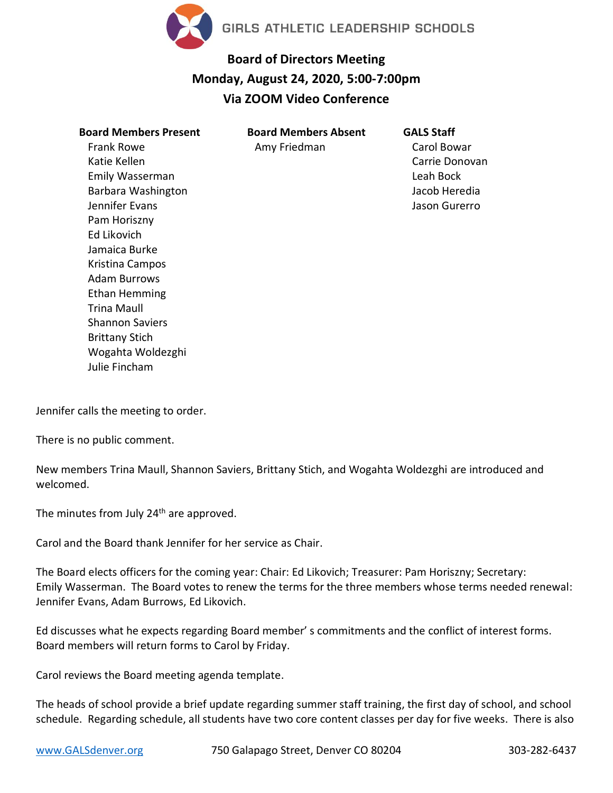

## **Board of Directors Meeting Monday, August 24, 2020, 5:00-7:00pm Via ZOOM Video Conference**

| <b>Board Members Present</b> | <b>Board Members Absent</b> |
|------------------------------|-----------------------------|
| Frank Rowe                   | Amy Friedman                |
| Katie Kellen                 |                             |
| Emily Wasserman              |                             |
| Barbara Washington           |                             |
| Jennifer Evans               |                             |
| Pam Horiszny                 |                             |
| <b>Ed Likovich</b>           |                             |
| Jamaica Burke                |                             |
| Kristina Campos              |                             |
| Adam Burrows                 |                             |
| Ethan Hemming                |                             |
| Trina Maull                  |                             |
| <b>Shannon Saviers</b>       |                             |
| <b>Brittany Stich</b>        |                             |
| Wogahta Woldezghi            |                             |
| Julie Fincham                |                             |

**GALS Staff** Carol Bowar Carrie Donovan Leah Bock Jacob Heredia Jason Gurerro

Jennifer calls the meeting to order.

There is no public comment.

New members Trina Maull, Shannon Saviers, Brittany Stich, and Wogahta Woldezghi are introduced and welcomed.

The minutes from July 24<sup>th</sup> are approved.

Carol and the Board thank Jennifer for her service as Chair.

The Board elects officers for the coming year: Chair: Ed Likovich; Treasurer: Pam Horiszny; Secretary: Emily Wasserman. The Board votes to renew the terms for the three members whose terms needed renewal: Jennifer Evans, Adam Burrows, Ed Likovich.

Ed discusses what he expects regarding Board member' s commitments and the conflict of interest forms. Board members will return forms to Carol by Friday.

Carol reviews the Board meeting agenda template.

The heads of school provide a brief update regarding summer staff training, the first day of school, and school schedule. Regarding schedule, all students have two core content classes per day for five weeks. There is also